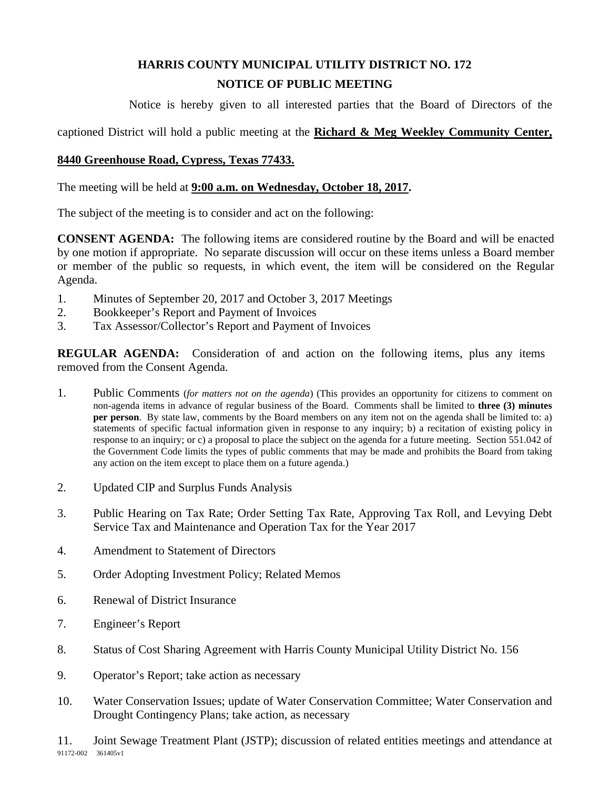## **HARRIS COUNTY MUNICIPAL UTILITY DISTRICT NO. 172 NOTICE OF PUBLIC MEETING**

Notice is hereby given to all interested parties that the Board of Directors of the

captioned District will hold a public meeting at the **Richard & Meg Weekley Community Center,** 

## **8440 Greenhouse Road, Cypress, Texas 77433.**

The meeting will be held at **9:00 a.m. on Wednesday, October 18, 2017.**

The subject of the meeting is to consider and act on the following:

**CONSENT AGENDA:** The following items are considered routine by the Board and will be enacted by one motion if appropriate. No separate discussion will occur on these items unless a Board member or member of the public so requests, in which event, the item will be considered on the Regular Agenda.

- 1. Minutes of September 20, 2017 and October 3, 2017 Meetings
- 2. Bookkeeper's Report and Payment of Invoices
- 3. Tax Assessor/Collector's Report and Payment of Invoices

**REGULAR AGENDA:** Consideration of and action on the following items, plus any items removed from the Consent Agenda.

- 1. Public Comments (*for matters not on the agenda*) (This provides an opportunity for citizens to comment on non-agenda items in advance of regular business of the Board. Comments shall be limited to **three (3) minutes per person**. By state law, comments by the Board members on any item not on the agenda shall be limited to: a) statements of specific factual information given in response to any inquiry; b) a recitation of existing policy in response to an inquiry; or c) a proposal to place the subject on the agenda for a future meeting. Section 551.042 of the Government Code limits the types of public comments that may be made and prohibits the Board from taking any action on the item except to place them on a future agenda.)
- 2. Updated CIP and Surplus Funds Analysis
- 3. Public Hearing on Tax Rate; Order Setting Tax Rate, Approving Tax Roll, and Levying Debt Service Tax and Maintenance and Operation Tax for the Year 2017
- 4. Amendment to Statement of Directors
- 5. Order Adopting Investment Policy; Related Memos
- 6. Renewal of District Insurance
- 7. Engineer's Report
- 8. Status of Cost Sharing Agreement with Harris County Municipal Utility District No. 156
- 9. Operator's Report; take action as necessary
- 10. Water Conservation Issues; update of Water Conservation Committee; Water Conservation and Drought Contingency Plans; take action, as necessary

91172-002 361405v1 11. Joint Sewage Treatment Plant (JSTP); discussion of related entities meetings and attendance at